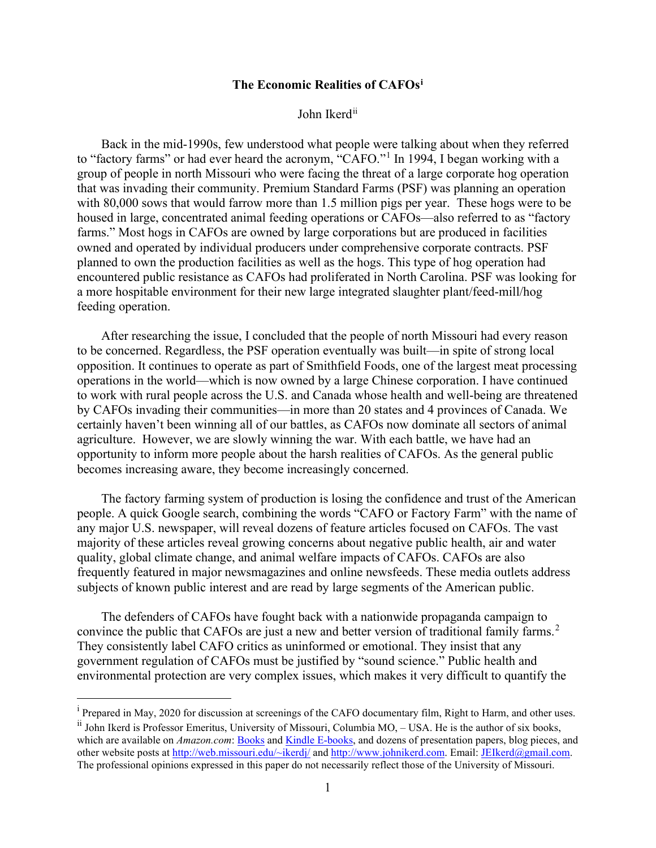## **The Economic Realities of CAFOs[i](#page-0-0)**

John Ikerd<sup>[ii](#page-0-1)</sup>

Back in the mid-1990s, few understood what people were talking about when they referred to "factory farms" or had ever heard the acronym, "CAFO."[1](#page-12-0) In 1994, I began working with a group of people in north Missouri who were facing the threat of a large corporate hog operation that was invading their community. Premium Standard Farms (PSF) was planning an operation with 80,000 sows that would farrow more than 1.5 million pigs per year. These hogs were to be housed in large, concentrated animal feeding operations or CAFOs—also referred to as "factory farms." Most hogs in CAFOs are owned by large corporations but are produced in facilities owned and operated by individual producers under comprehensive corporate contracts. PSF planned to own the production facilities as well as the hogs. This type of hog operation had encountered public resistance as CAFOs had proliferated in North Carolina. PSF was looking for a more hospitable environment for their new large integrated slaughter plant/feed-mill/hog feeding operation.

After researching the issue, I concluded that the people of north Missouri had every reason to be concerned. Regardless, the PSF operation eventually was built—in spite of strong local opposition. It continues to operate as part of Smithfield Foods, one of the largest meat processing operations in the world—which is now owned by a large Chinese corporation. I have continued to work with rural people across the U.S. and Canada whose health and well-being are threatened by CAFOs invading their communities—in more than 20 states and 4 provinces of Canada. We certainly haven't been winning all of our battles, as CAFOs now dominate all sectors of animal agriculture. However, we are slowly winning the war. With each battle, we have had an opportunity to inform more people about the harsh realities of CAFOs. As the general public becomes increasing aware, they become increasingly concerned.

The factory farming system of production is losing the confidence and trust of the American people. A quick Google search, combining the words "CAFO or Factory Farm" with the name of any major U.S. newspaper, will reveal dozens of feature articles focused on CAFOs. The vast majority of these articles reveal growing concerns about negative public health, air and water quality, global climate change, and animal welfare impacts of CAFOs. CAFOs are also frequently featured in major newsmagazines and online newsfeeds. These media outlets address subjects of known public interest and are read by large segments of the American public.

The defenders of CAFOs have fought back with a nationwide propaganda campaign to convince the public that CAFOs are just a new and better version of traditional family farms.<sup>[2](#page-12-1)</sup> They consistently label CAFO critics as uninformed or emotional. They insist that any government regulation of CAFOs must be justified by "sound science." Public health and environmental protection are very complex issues, which makes it very difficult to quantify the

<span id="page-0-0"></span><sup>&</sup>lt;sup>i</sup> Prepared in May, 2020 for discussion at screenings of the CAFO documentary film, Right to Harm, and other uses.

<span id="page-0-1"></span>ii John Ikerd is Professor Emeritus, University of Missouri, Columbia MO, – USA. He is the author of six books, which are available on *Amazon.com*[: Books](http://www.amazon.com/John-E.-Ikerd/e/B001JOW2Y8) an[d Kindle E-books,](http://www.amazon.com/s/ref=nb_sb_noss_1?url=search-alias%3Ddigital-text&field-keywords=john+ikerd) and dozens of presentation papers, blog pieces, and other website posts at [http://web.missouri.edu/~ikerdj/](http://web.missouri.edu/%7Eikerdj/) and [http://www.johnikerd.com.](http://www.johnikerd.com/) Email: [JEIkerd@gmail.com.](mailto:JEIkerd@gmail.com) The professional opinions expressed in this paper do not necessarily reflect those of the University of Missouri.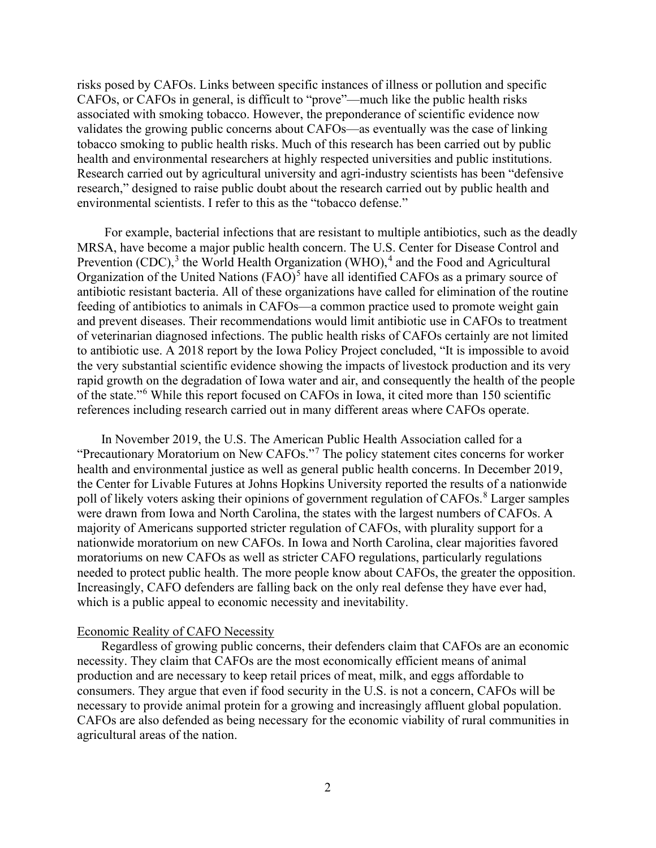risks posed by CAFOs. Links between specific instances of illness or pollution and specific CAFOs, or CAFOs in general, is difficult to "prove"—much like the public health risks associated with smoking tobacco. However, the preponderance of scientific evidence now validates the growing public concerns about CAFOs—as eventually was the case of linking tobacco smoking to public health risks. Much of this research has been carried out by public health and environmental researchers at highly respected universities and public institutions. Research carried out by agricultural university and agri-industry scientists has been "defensive research," designed to raise public doubt about the research carried out by public health and environmental scientists. I refer to this as the "tobacco defense."

For example, bacterial infections that are resistant to multiple antibiotics, such as the deadly MRSA, have become a major public health concern. The U.S. Center for Disease Control and Prevention (CDC), $3$  the World Health Organization (WHO), $4$  and the Food and Agricultural Organization of the United Nations  $(FAO)^5$  $(FAO)^5$  have all identified CAFOs as a primary source of antibiotic resistant bacteria. All of these organizations have called for elimination of the routine feeding of antibiotics to animals in CAFOs—a common practice used to promote weight gain and prevent diseases. Their recommendations would limit antibiotic use in CAFOs to treatment of veterinarian diagnosed infections. The public health risks of CAFOs certainly are not limited to antibiotic use. A 2018 report by the Iowa Policy Project concluded, "It is impossible to avoid the very substantial scientific evidence showing the impacts of livestock production and its very rapid growth on the degradation of Iowa water and air, and consequently the health of the people of the state."[6](#page-12-5) While this report focused on CAFOs in Iowa, it cited more than 150 scientific references including research carried out in many different areas where CAFOs operate.

In November 2019, the U.S. The American Public Health Association called for a "Precautionary Moratorium on New CAFOs."[7](#page-12-6) The policy statement cites concerns for worker health and environmental justice as well as general public health concerns. In December 2019, the Center for Livable Futures at Johns Hopkins University reported the results of a nationwide poll of likely voters asking their opinions of government regulation of CAFOs.<sup>[8](#page-12-7)</sup> Larger samples were drawn from Iowa and North Carolina, the states with the largest numbers of CAFOs. A majority of Americans supported stricter regulation of CAFOs, with plurality support for a nationwide moratorium on new CAFOs. In Iowa and North Carolina, clear majorities favored moratoriums on new CAFOs as well as stricter CAFO regulations, particularly regulations needed to protect public health. The more people know about CAFOs, the greater the opposition. Increasingly, CAFO defenders are falling back on the only real defense they have ever had, which is a public appeal to economic necessity and inevitability.

## Economic Reality of CAFO Necessity

Regardless of growing public concerns, their defenders claim that CAFOs are an economic necessity. They claim that CAFOs are the most economically efficient means of animal production and are necessary to keep retail prices of meat, milk, and eggs affordable to consumers. They argue that even if food security in the U.S. is not a concern, CAFOs will be necessary to provide animal protein for a growing and increasingly affluent global population. CAFOs are also defended as being necessary for the economic viability of rural communities in agricultural areas of the nation.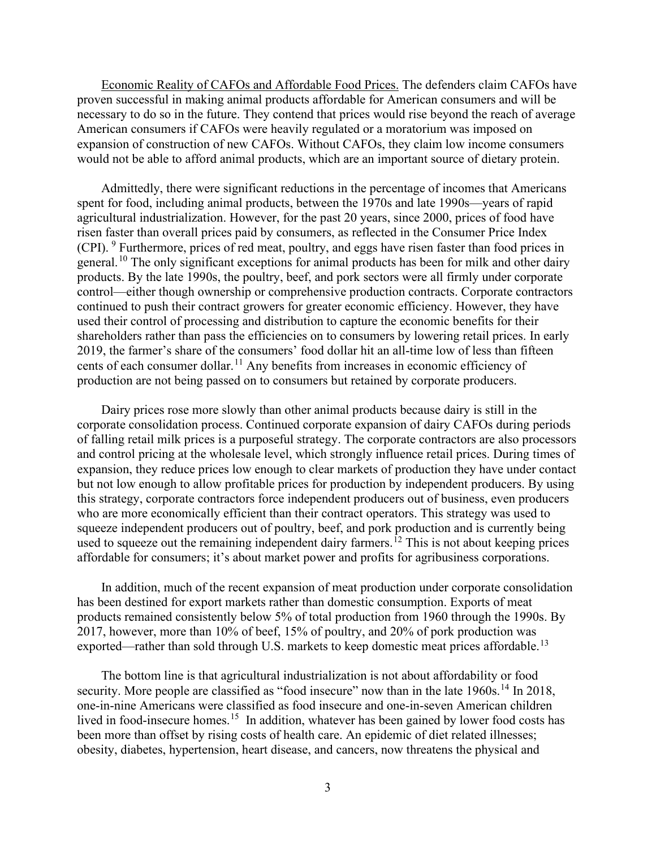Economic Reality of CAFOs and Affordable Food Prices. The defenders claim CAFOs have proven successful in making animal products affordable for American consumers and will be necessary to do so in the future. They contend that prices would rise beyond the reach of average American consumers if CAFOs were heavily regulated or a moratorium was imposed on expansion of construction of new CAFOs. Without CAFOs, they claim low income consumers would not be able to afford animal products, which are an important source of dietary protein.

Admittedly, there were significant reductions in the percentage of incomes that Americans spent for food, including animal products, between the 1970s and late 1990s—years of rapid agricultural industrialization. However, for the past 20 years, since 2000, prices of food have risen faster than overall prices paid by consumers, as reflected in the Consumer Price Index (CPI). [9](#page-12-8) Furthermore, prices of red meat, poultry, and eggs have risen faster than food prices in general.<sup>[10](#page-12-9)</sup> The only significant exceptions for animal products has been for milk and other dairy products. By the late 1990s, the poultry, beef, and pork sectors were all firmly under corporate control—either though ownership or comprehensive production contracts. Corporate contractors continued to push their contract growers for greater economic efficiency. However, they have used their control of processing and distribution to capture the economic benefits for their shareholders rather than pass the efficiencies on to consumers by lowering retail prices. In early 2019, the farmer's share of the consumers' food dollar hit an all-time low of less than fifteen cents of each consumer dollar.<sup>[11](#page-12-10)</sup> Any benefits from increases in economic efficiency of production are not being passed on to consumers but retained by corporate producers.

Dairy prices rose more slowly than other animal products because dairy is still in the corporate consolidation process. Continued corporate expansion of dairy CAFOs during periods of falling retail milk prices is a purposeful strategy. The corporate contractors are also processors and control pricing at the wholesale level, which strongly influence retail prices. During times of expansion, they reduce prices low enough to clear markets of production they have under contact but not low enough to allow profitable prices for production by independent producers. By using this strategy, corporate contractors force independent producers out of business, even producers who are more economically efficient than their contract operators. This strategy was used to squeeze independent producers out of poultry, beef, and pork production and is currently being used to squeeze out the remaining independent dairy farmers.<sup>[12](#page-12-11)</sup> This is not about keeping prices affordable for consumers; it's about market power and profits for agribusiness corporations.

In addition, much of the recent expansion of meat production under corporate consolidation has been destined for export markets rather than domestic consumption. Exports of meat products remained consistently below 5% of total production from 1960 through the 1990s. By 2017, however, more than 10% of beef, 15% of poultry, and 20% of pork production was exported—rather than sold through U.S. markets to keep domestic meat prices affordable.<sup>[13](#page-12-12)</sup>

The bottom line is that agricultural industrialization is not about affordability or food security. More people are classified as "food insecure" now than in the late  $1960s$ .<sup>[14](#page-12-13)</sup> In 2018, one-in-nine Americans were classified as food insecure and one-in-seven American children lived in food-insecure homes.<sup>[15](#page-12-14)</sup> In addition, whatever has been gained by lower food costs has been more than offset by rising costs of health care. An epidemic of diet related illnesses; obesity, diabetes, hypertension, heart disease, and cancers, now threatens the physical and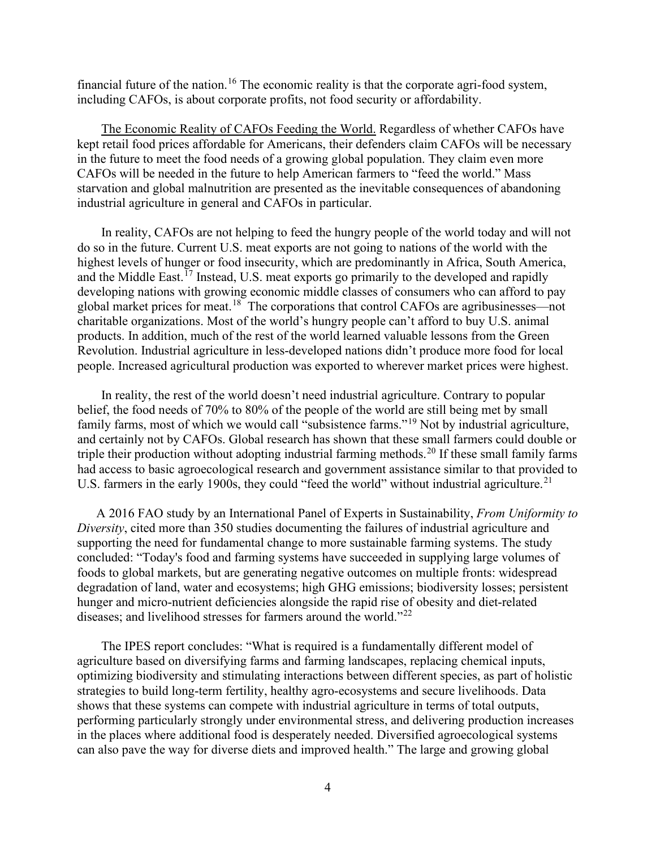financial future of the nation.[16](#page-12-15) The economic reality is that the corporate agri-food system, including CAFOs, is about corporate profits, not food security or affordability.

The Economic Reality of CAFOs Feeding the World. Regardless of whether CAFOs have kept retail food prices affordable for Americans, their defenders claim CAFOs will be necessary in the future to meet the food needs of a growing global population. They claim even more CAFOs will be needed in the future to help American farmers to "feed the world." Mass starvation and global malnutrition are presented as the inevitable consequences of abandoning industrial agriculture in general and CAFOs in particular.

In reality, CAFOs are not helping to feed the hungry people of the world today and will not do so in the future. Current U.S. meat exports are not going to nations of the world with the highest levels of hunger or food insecurity, which are predominantly in Africa, South America, and the Middle East.<sup> $17$ </sup> Instead, U.S. meat exports go primarily to the developed and rapidly developing nations with growing economic middle classes of consumers who can afford to pay global market prices for meat.[18](#page-12-17) The corporations that control CAFOs are agribusinesses—not charitable organizations. Most of the world's hungry people can't afford to buy U.S. animal products. In addition, much of the rest of the world learned valuable lessons from the Green Revolution. Industrial agriculture in less-developed nations didn't produce more food for local people. Increased agricultural production was exported to wherever market prices were highest.

In reality, the rest of the world doesn't need industrial agriculture. Contrary to popular belief, the food needs of 70% to 80% of the people of the world are still being met by small family farms, most of which we would call "subsistence farms."[19](#page-12-18) Not by industrial agriculture, and certainly not by CAFOs. Global research has shown that these small farmers could double or triple their production without adopting industrial farming methods.<sup>[20](#page-13-0)</sup> If these small family farms had access to basic agroecological research and government assistance similar to that provided to U.S. farmers in the early 1900s, they could "feed the world" without industrial agriculture.<sup>21</sup>

A 2016 FAO study by an International Panel of Experts in Sustainability, *From Uniformity to Diversity*, cited more than 350 studies documenting the failures of industrial agriculture and supporting the need for fundamental change to more sustainable farming systems. The study concluded: "Today's food and farming systems have succeeded in supplying large volumes of foods to global markets, but are generating negative outcomes on multiple fronts: widespread degradation of land, water and ecosystems; high GHG emissions; biodiversity losses; persistent hunger and micro-nutrient deficiencies alongside the rapid rise of obesity and diet-related diseases; and livelihood stresses for farmers around the world."<sup>[22](#page-13-2)</sup>

The IPES report concludes: "What is required is a fundamentally different model of agriculture based on diversifying farms and farming landscapes, replacing chemical inputs, optimizing biodiversity and stimulating interactions between different species, as part of holistic strategies to build long-term fertility, healthy agro-ecosystems and secure livelihoods. Data shows that these systems can compete with industrial agriculture in terms of total outputs, performing particularly strongly under environmental stress, and delivering production increases in the places where additional food is desperately needed. Diversified agroecological systems can also pave the way for diverse diets and improved health." The large and growing global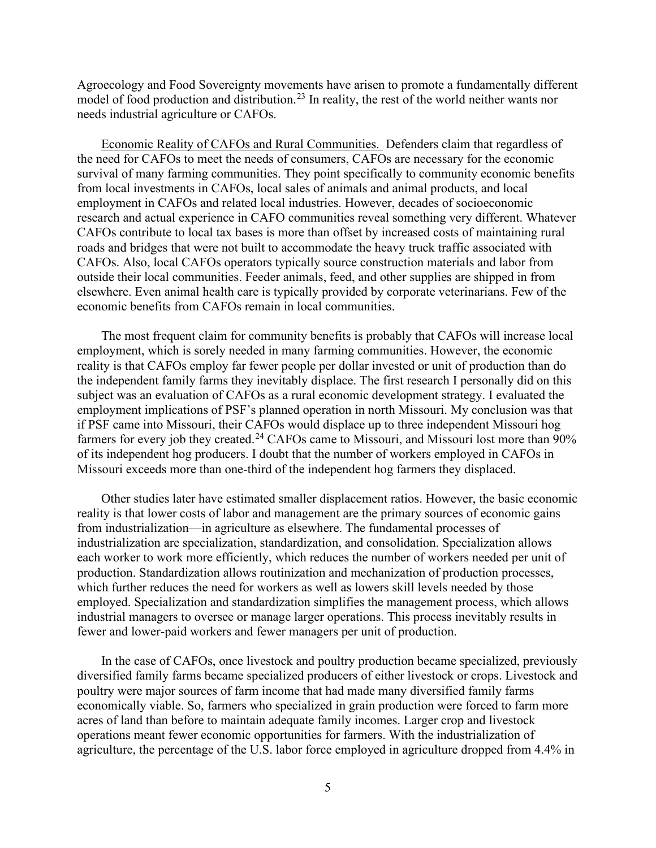Agroecology and Food Sovereignty movements have arisen to promote a fundamentally different model of food production and distribution.<sup>[23](#page-13-3)</sup> In reality, the rest of the world neither wants nor needs industrial agriculture or CAFOs.

Economic Reality of CAFOs and Rural Communities. Defenders claim that regardless of the need for CAFOs to meet the needs of consumers, CAFOs are necessary for the economic survival of many farming communities. They point specifically to community economic benefits from local investments in CAFOs, local sales of animals and animal products, and local employment in CAFOs and related local industries. However, decades of socioeconomic research and actual experience in CAFO communities reveal something very different. Whatever CAFOs contribute to local tax bases is more than offset by increased costs of maintaining rural roads and bridges that were not built to accommodate the heavy truck traffic associated with CAFOs. Also, local CAFOs operators typically source construction materials and labor from outside their local communities. Feeder animals, feed, and other supplies are shipped in from elsewhere. Even animal health care is typically provided by corporate veterinarians. Few of the economic benefits from CAFOs remain in local communities.

The most frequent claim for community benefits is probably that CAFOs will increase local employment, which is sorely needed in many farming communities. However, the economic reality is that CAFOs employ far fewer people per dollar invested or unit of production than do the independent family farms they inevitably displace. The first research I personally did on this subject was an evaluation of CAFOs as a rural economic development strategy. I evaluated the employment implications of PSF's planned operation in north Missouri. My conclusion was that if PSF came into Missouri, their CAFOs would displace up to three independent Missouri hog farmers for every job they created.<sup>[24](#page-13-4)</sup> CAFOs came to Missouri, and Missouri lost more than 90% of its independent hog producers. I doubt that the number of workers employed in CAFOs in Missouri exceeds more than one-third of the independent hog farmers they displaced.

Other studies later have estimated smaller displacement ratios. However, the basic economic reality is that lower costs of labor and management are the primary sources of economic gains from industrialization—in agriculture as elsewhere. The fundamental processes of industrialization are specialization, standardization, and consolidation. Specialization allows each worker to work more efficiently, which reduces the number of workers needed per unit of production. Standardization allows routinization and mechanization of production processes, which further reduces the need for workers as well as lowers skill levels needed by those employed. Specialization and standardization simplifies the management process, which allows industrial managers to oversee or manage larger operations. This process inevitably results in fewer and lower-paid workers and fewer managers per unit of production.

In the case of CAFOs, once livestock and poultry production became specialized, previously diversified family farms became specialized producers of either livestock or crops. Livestock and poultry were major sources of farm income that had made many diversified family farms economically viable. So, farmers who specialized in grain production were forced to farm more acres of land than before to maintain adequate family incomes. Larger crop and livestock operations meant fewer economic opportunities for farmers. With the industrialization of agriculture, the percentage of the U.S. labor force employed in agriculture dropped from 4.4% in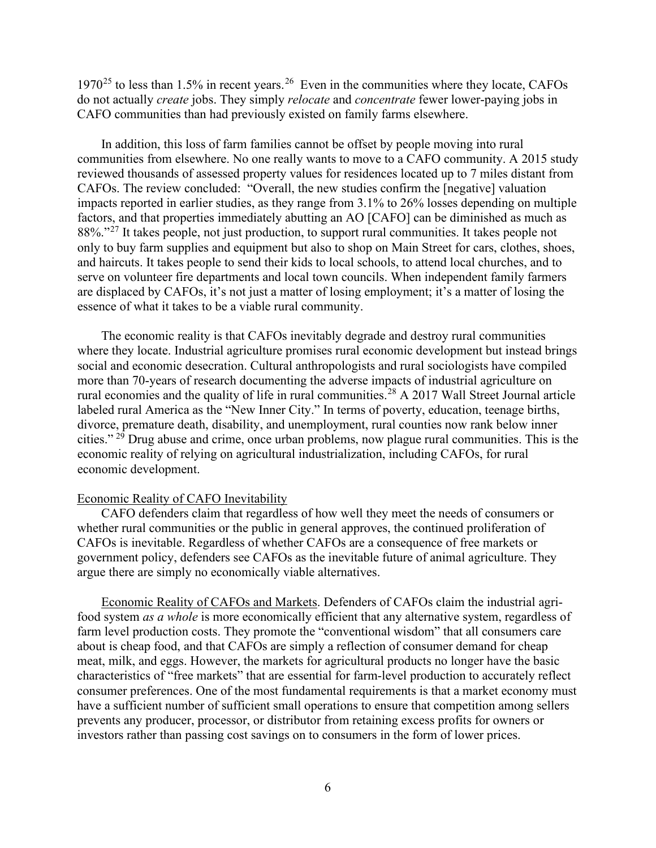1970<sup>[25](#page-13-5)</sup> to less than 1.5% in recent years.<sup>[26](#page-13-6)</sup> Even in the communities where they locate, CAFOs do not actually *create* jobs. They simply *relocate* and *concentrate* fewer lower-paying jobs in CAFO communities than had previously existed on family farms elsewhere.

In addition, this loss of farm families cannot be offset by people moving into rural communities from elsewhere. No one really wants to move to a CAFO community. A 2015 study reviewed thousands of assessed property values for residences located up to 7 miles distant from CAFOs. The review concluded: "Overall, the new studies confirm the [negative] valuation impacts reported in earlier studies, as they range from 3.1% to 26% losses depending on multiple factors, and that properties immediately abutting an AO [CAFO] can be diminished as much as 88%."<sup>[27](#page-13-7)</sup> It takes people, not just production, to support rural communities. It takes people not only to buy farm supplies and equipment but also to shop on Main Street for cars, clothes, shoes, and haircuts. It takes people to send their kids to local schools, to attend local churches, and to serve on volunteer fire departments and local town councils. When independent family farmers are displaced by CAFOs, it's not just a matter of losing employment; it's a matter of losing the essence of what it takes to be a viable rural community.

The economic reality is that CAFOs inevitably degrade and destroy rural communities where they locate. Industrial agriculture promises rural economic development but instead brings social and economic desecration. Cultural anthropologists and rural sociologists have compiled more than 70-years of research documenting the adverse impacts of industrial agriculture on rural economies and the quality of life in rural communities.<sup>[28](#page-13-8)</sup> A 2017 Wall Street Journal article labeled rural America as the "New Inner City." In terms of poverty, education, teenage births, divorce, premature death, disability, and unemployment, rural counties now rank below inner cities." [29](#page-13-9) Drug abuse and crime, once urban problems, now plague rural communities. This is the economic reality of relying on agricultural industrialization, including CAFOs, for rural economic development.

## Economic Reality of CAFO Inevitability

CAFO defenders claim that regardless of how well they meet the needs of consumers or whether rural communities or the public in general approves, the continued proliferation of CAFOs is inevitable. Regardless of whether CAFOs are a consequence of free markets or government policy, defenders see CAFOs as the inevitable future of animal agriculture. They argue there are simply no economically viable alternatives.

Economic Reality of CAFOs and Markets. Defenders of CAFOs claim the industrial agrifood system *as a whole* is more economically efficient that any alternative system, regardless of farm level production costs. They promote the "conventional wisdom" that all consumers care about is cheap food, and that CAFOs are simply a reflection of consumer demand for cheap meat, milk, and eggs. However, the markets for agricultural products no longer have the basic characteristics of "free markets" that are essential for farm-level production to accurately reflect consumer preferences. One of the most fundamental requirements is that a market economy must have a sufficient number of sufficient small operations to ensure that competition among sellers prevents any producer, processor, or distributor from retaining excess profits for owners or investors rather than passing cost savings on to consumers in the form of lower prices.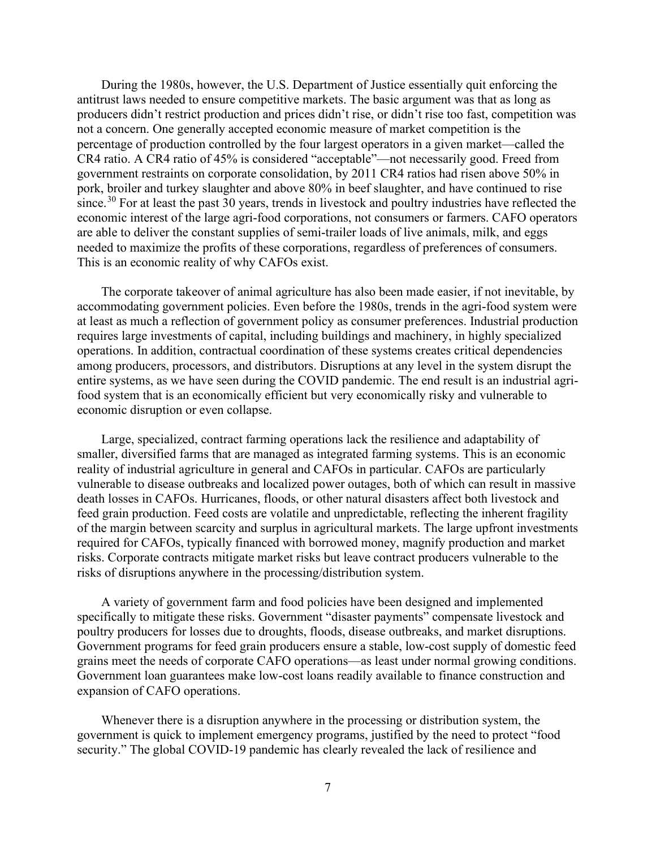During the 1980s, however, the U.S. Department of Justice essentially quit enforcing the antitrust laws needed to ensure competitive markets. The basic argument was that as long as producers didn't restrict production and prices didn't rise, or didn't rise too fast, competition was not a concern. One generally accepted economic measure of market competition is the percentage of production controlled by the four largest operators in a given market—called the CR4 ratio. A CR4 ratio of 45% is considered "acceptable"—not necessarily good. Freed from government restraints on corporate consolidation, by 2011 CR4 ratios had risen above 50% in pork, broiler and turkey slaughter and above 80% in beef slaughter, and have continued to rise since.<sup>[30](#page-13-10)</sup> For at least the past 30 years, trends in livestock and poultry industries have reflected the economic interest of the large agri-food corporations, not consumers or farmers. CAFO operators are able to deliver the constant supplies of semi-trailer loads of live animals, milk, and eggs needed to maximize the profits of these corporations, regardless of preferences of consumers. This is an economic reality of why CAFOs exist.

The corporate takeover of animal agriculture has also been made easier, if not inevitable, by accommodating government policies. Even before the 1980s, trends in the agri-food system were at least as much a reflection of government policy as consumer preferences. Industrial production requires large investments of capital, including buildings and machinery, in highly specialized operations. In addition, contractual coordination of these systems creates critical dependencies among producers, processors, and distributors. Disruptions at any level in the system disrupt the entire systems, as we have seen during the COVID pandemic. The end result is an industrial agrifood system that is an economically efficient but very economically risky and vulnerable to economic disruption or even collapse.

Large, specialized, contract farming operations lack the resilience and adaptability of smaller, diversified farms that are managed as integrated farming systems. This is an economic reality of industrial agriculture in general and CAFOs in particular. CAFOs are particularly vulnerable to disease outbreaks and localized power outages, both of which can result in massive death losses in CAFOs. Hurricanes, floods, or other natural disasters affect both livestock and feed grain production. Feed costs are volatile and unpredictable, reflecting the inherent fragility of the margin between scarcity and surplus in agricultural markets. The large upfront investments required for CAFOs, typically financed with borrowed money, magnify production and market risks. Corporate contracts mitigate market risks but leave contract producers vulnerable to the risks of disruptions anywhere in the processing/distribution system.

A variety of government farm and food policies have been designed and implemented specifically to mitigate these risks. Government "disaster payments" compensate livestock and poultry producers for losses due to droughts, floods, disease outbreaks, and market disruptions. Government programs for feed grain producers ensure a stable, low-cost supply of domestic feed grains meet the needs of corporate CAFO operations—as least under normal growing conditions. Government loan guarantees make low-cost loans readily available to finance construction and expansion of CAFO operations.

Whenever there is a disruption anywhere in the processing or distribution system, the government is quick to implement emergency programs, justified by the need to protect "food security." The global COVID-19 pandemic has clearly revealed the lack of resilience and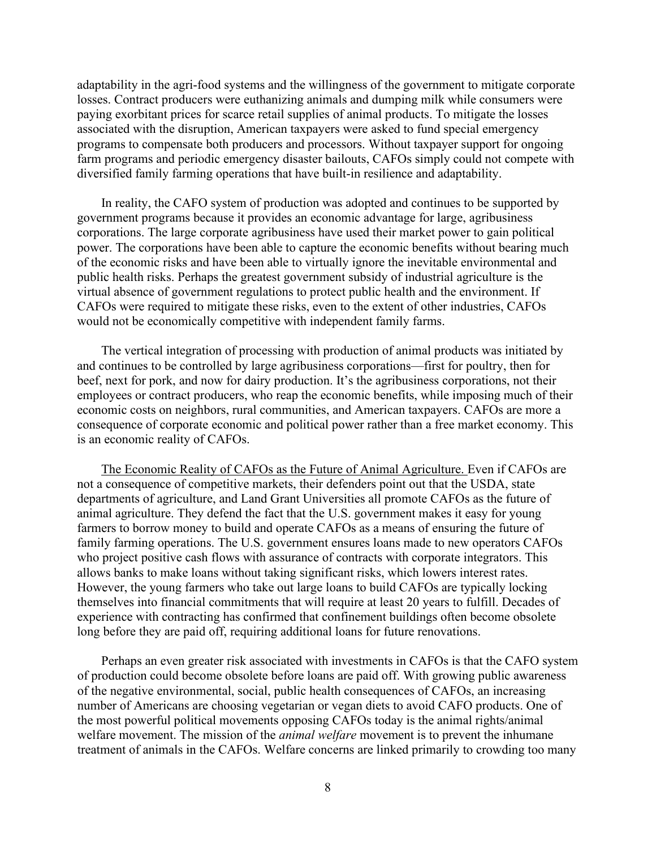adaptability in the agri-food systems and the willingness of the government to mitigate corporate losses. Contract producers were euthanizing animals and dumping milk while consumers were paying exorbitant prices for scarce retail supplies of animal products. To mitigate the losses associated with the disruption, American taxpayers were asked to fund special emergency programs to compensate both producers and processors. Without taxpayer support for ongoing farm programs and periodic emergency disaster bailouts, CAFOs simply could not compete with diversified family farming operations that have built-in resilience and adaptability.

In reality, the CAFO system of production was adopted and continues to be supported by government programs because it provides an economic advantage for large, agribusiness corporations. The large corporate agribusiness have used their market power to gain political power. The corporations have been able to capture the economic benefits without bearing much of the economic risks and have been able to virtually ignore the inevitable environmental and public health risks. Perhaps the greatest government subsidy of industrial agriculture is the virtual absence of government regulations to protect public health and the environment. If CAFOs were required to mitigate these risks, even to the extent of other industries, CAFOs would not be economically competitive with independent family farms.

The vertical integration of processing with production of animal products was initiated by and continues to be controlled by large agribusiness corporations—first for poultry, then for beef, next for pork, and now for dairy production. It's the agribusiness corporations, not their employees or contract producers, who reap the economic benefits, while imposing much of their economic costs on neighbors, rural communities, and American taxpayers. CAFOs are more a consequence of corporate economic and political power rather than a free market economy. This is an economic reality of CAFOs.

The Economic Reality of CAFOs as the Future of Animal Agriculture. Even if CAFOs are not a consequence of competitive markets, their defenders point out that the USDA, state departments of agriculture, and Land Grant Universities all promote CAFOs as the future of animal agriculture. They defend the fact that the U.S. government makes it easy for young farmers to borrow money to build and operate CAFOs as a means of ensuring the future of family farming operations. The U.S. government ensures loans made to new operators CAFOs who project positive cash flows with assurance of contracts with corporate integrators. This allows banks to make loans without taking significant risks, which lowers interest rates. However, the young farmers who take out large loans to build CAFOs are typically locking themselves into financial commitments that will require at least 20 years to fulfill. Decades of experience with contracting has confirmed that confinement buildings often become obsolete long before they are paid off, requiring additional loans for future renovations.

Perhaps an even greater risk associated with investments in CAFOs is that the CAFO system of production could become obsolete before loans are paid off. With growing public awareness of the negative environmental, social, public health consequences of CAFOs, an increasing number of Americans are choosing vegetarian or vegan diets to avoid CAFO products. One of the most powerful political movements opposing CAFOs today is the animal rights/animal welfare movement. The mission of the *animal welfare* movement is to prevent the inhumane treatment of animals in the CAFOs. Welfare concerns are linked primarily to crowding too many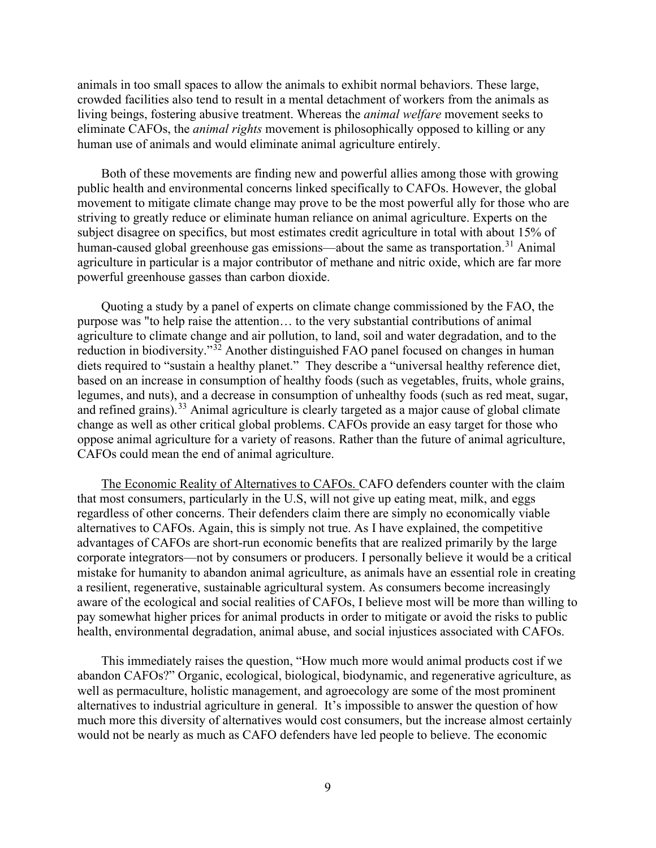animals in too small spaces to allow the animals to exhibit normal behaviors. These large, crowded facilities also tend to result in a mental detachment of workers from the animals as living beings, fostering abusive treatment. Whereas the *animal welfare* movement seeks to eliminate CAFOs, the *animal rights* movement is philosophically opposed to killing or any human use of animals and would eliminate animal agriculture entirely.

Both of these movements are finding new and powerful allies among those with growing public health and environmental concerns linked specifically to CAFOs. However, the global movement to mitigate climate change may prove to be the most powerful ally for those who are striving to greatly reduce or eliminate human reliance on animal agriculture. Experts on the subject disagree on specifics, but most estimates credit agriculture in total with about 15% of human-caused global greenhouse gas emissions—about the same as transportation.<sup>[31](#page-13-11)</sup> Animal agriculture in particular is a major contributor of methane and nitric oxide, which are far more powerful greenhouse gasses than carbon dioxide.

Quoting a study by a panel of experts on climate change commissioned by the FAO, the purpose was "to help raise the attention… to the very substantial contributions of animal agriculture to climate change and air pollution, to land, soil and water degradation, and to the reduction in biodiversity."<sup>[32](#page-13-12)</sup> Another distinguished FAO panel focused on changes in human diets required to "sustain a healthy planet." They describe a "universal healthy reference diet, based on an increase in consumption of healthy foods (such as vegetables, fruits, whole grains, legumes, and nuts), and a decrease in consumption of unhealthy foods (such as red meat, sugar, and refined grains).<sup>[33](#page-13-13)</sup> Animal agriculture is clearly targeted as a major cause of global climate change as well as other critical global problems. CAFOs provide an easy target for those who oppose animal agriculture for a variety of reasons. Rather than the future of animal agriculture, CAFOs could mean the end of animal agriculture.

The Economic Reality of Alternatives to CAFOs. CAFO defenders counter with the claim that most consumers, particularly in the U.S, will not give up eating meat, milk, and eggs regardless of other concerns. Their defenders claim there are simply no economically viable alternatives to CAFOs. Again, this is simply not true. As I have explained, the competitive advantages of CAFOs are short-run economic benefits that are realized primarily by the large corporate integrators—not by consumers or producers. I personally believe it would be a critical mistake for humanity to abandon animal agriculture, as animals have an essential role in creating a resilient, regenerative, sustainable agricultural system. As consumers become increasingly aware of the ecological and social realities of CAFOs, I believe most will be more than willing to pay somewhat higher prices for animal products in order to mitigate or avoid the risks to public health, environmental degradation, animal abuse, and social injustices associated with CAFOs.

This immediately raises the question, "How much more would animal products cost if we abandon CAFOs?" Organic, ecological, biological, biodynamic, and regenerative agriculture, as well as permaculture, holistic management, and agroecology are some of the most prominent alternatives to industrial agriculture in general. It's impossible to answer the question of how much more this diversity of alternatives would cost consumers, but the increase almost certainly would not be nearly as much as CAFO defenders have led people to believe. The economic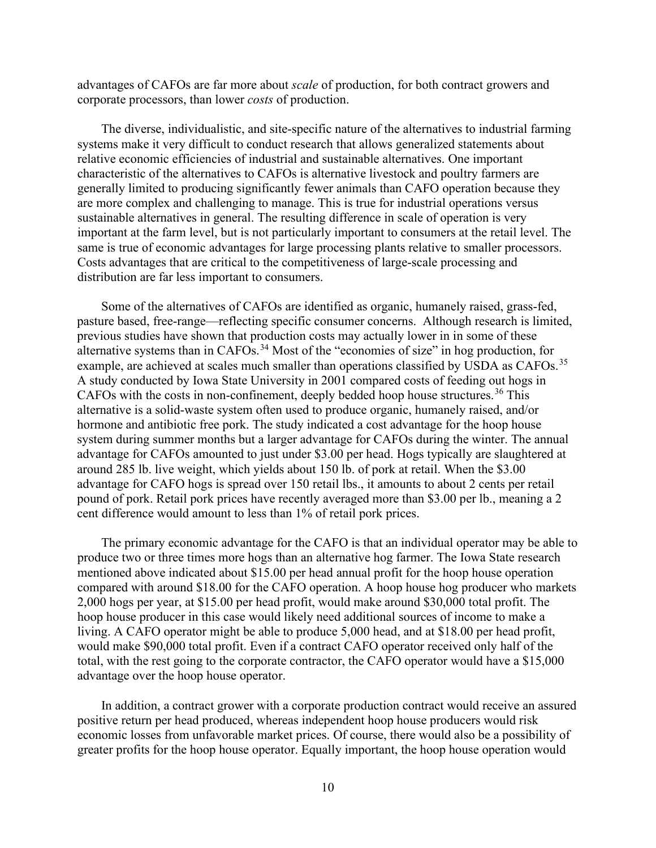advantages of CAFOs are far more about *scale* of production, for both contract growers and corporate processors, than lower *costs* of production.

The diverse, individualistic, and site-specific nature of the alternatives to industrial farming systems make it very difficult to conduct research that allows generalized statements about relative economic efficiencies of industrial and sustainable alternatives. One important characteristic of the alternatives to CAFOs is alternative livestock and poultry farmers are generally limited to producing significantly fewer animals than CAFO operation because they are more complex and challenging to manage. This is true for industrial operations versus sustainable alternatives in general. The resulting difference in scale of operation is very important at the farm level, but is not particularly important to consumers at the retail level. The same is true of economic advantages for large processing plants relative to smaller processors. Costs advantages that are critical to the competitiveness of large-scale processing and distribution are far less important to consumers.

Some of the alternatives of CAFOs are identified as organic, humanely raised, grass-fed, pasture based, free-range—reflecting specific consumer concerns. Although research is limited, previous studies have shown that production costs may actually lower in in some of these alternative systems than in CAFOs.<sup>[34](#page-13-14)</sup> Most of the "economies of size" in hog production, for example, are achieved at scales much smaller than operations classified by USDA as CAFOs.<sup>[35](#page-13-15)</sup> A study conducted by Iowa State University in 2001 compared costs of feeding out hogs in CAFOs with the costs in non-confinement, deeply bedded hoop house structures.<sup>[36](#page-13-16)</sup> This alternative is a solid-waste system often used to produce organic, humanely raised, and/or hormone and antibiotic free pork. The study indicated a cost advantage for the hoop house system during summer months but a larger advantage for CAFOs during the winter. The annual advantage for CAFOs amounted to just under \$3.00 per head. Hogs typically are slaughtered at around 285 lb. live weight, which yields about 150 lb. of pork at retail. When the \$3.00 advantage for CAFO hogs is spread over 150 retail lbs., it amounts to about 2 cents per retail pound of pork. Retail pork prices have recently averaged more than \$3.00 per lb., meaning a 2 cent difference would amount to less than 1% of retail pork prices.

The primary economic advantage for the CAFO is that an individual operator may be able to produce two or three times more hogs than an alternative hog farmer. The Iowa State research mentioned above indicated about \$15.00 per head annual profit for the hoop house operation compared with around \$18.00 for the CAFO operation. A hoop house hog producer who markets 2,000 hogs per year, at \$15.00 per head profit, would make around \$30,000 total profit. The hoop house producer in this case would likely need additional sources of income to make a living. A CAFO operator might be able to produce 5,000 head, and at \$18.00 per head profit, would make \$90,000 total profit. Even if a contract CAFO operator received only half of the total, with the rest going to the corporate contractor, the CAFO operator would have a \$15,000 advantage over the hoop house operator.

In addition, a contract grower with a corporate production contract would receive an assured positive return per head produced, whereas independent hoop house producers would risk economic losses from unfavorable market prices. Of course, there would also be a possibility of greater profits for the hoop house operator. Equally important, the hoop house operation would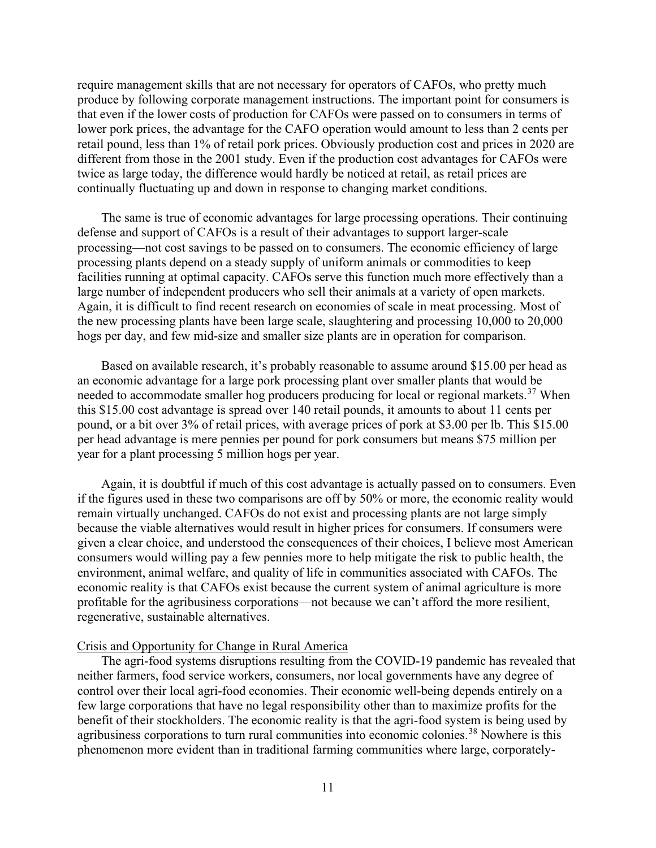require management skills that are not necessary for operators of CAFOs, who pretty much produce by following corporate management instructions. The important point for consumers is that even if the lower costs of production for CAFOs were passed on to consumers in terms of lower pork prices, the advantage for the CAFO operation would amount to less than 2 cents per retail pound, less than 1% of retail pork prices. Obviously production cost and prices in 2020 are different from those in the 2001 study. Even if the production cost advantages for CAFOs were twice as large today, the difference would hardly be noticed at retail, as retail prices are continually fluctuating up and down in response to changing market conditions.

The same is true of economic advantages for large processing operations. Their continuing defense and support of CAFOs is a result of their advantages to support larger-scale processing—not cost savings to be passed on to consumers. The economic efficiency of large processing plants depend on a steady supply of uniform animals or commodities to keep facilities running at optimal capacity. CAFOs serve this function much more effectively than a large number of independent producers who sell their animals at a variety of open markets. Again, it is difficult to find recent research on economies of scale in meat processing. Most of the new processing plants have been large scale, slaughtering and processing 10,000 to 20,000 hogs per day, and few mid-size and smaller size plants are in operation for comparison.

Based on available research, it's probably reasonable to assume around \$15.00 per head as an economic advantage for a large pork processing plant over smaller plants that would be needed to accommodate smaller hog producers producing for local or regional markets.<sup>[37](#page-13-17)</sup> When this \$15.00 cost advantage is spread over 140 retail pounds, it amounts to about 11 cents per pound, or a bit over 3% of retail prices, with average prices of pork at \$3.00 per lb. This \$15.00 per head advantage is mere pennies per pound for pork consumers but means \$75 million per year for a plant processing 5 million hogs per year.

Again, it is doubtful if much of this cost advantage is actually passed on to consumers. Even if the figures used in these two comparisons are off by 50% or more, the economic reality would remain virtually unchanged. CAFOs do not exist and processing plants are not large simply because the viable alternatives would result in higher prices for consumers. If consumers were given a clear choice, and understood the consequences of their choices, I believe most American consumers would willing pay a few pennies more to help mitigate the risk to public health, the environment, animal welfare, and quality of life in communities associated with CAFOs. The economic reality is that CAFOs exist because the current system of animal agriculture is more profitable for the agribusiness corporations—not because we can't afford the more resilient, regenerative, sustainable alternatives.

## Crisis and Opportunity for Change in Rural America

The agri-food systems disruptions resulting from the COVID-19 pandemic has revealed that neither farmers, food service workers, consumers, nor local governments have any degree of control over their local agri-food economies. Their economic well-being depends entirely on a few large corporations that have no legal responsibility other than to maximize profits for the benefit of their stockholders. The economic reality is that the agri-food system is being used by agribusiness corporations to turn rural communities into economic colonies.<sup>[38](#page-13-18)</sup> Nowhere is this phenomenon more evident than in traditional farming communities where large, corporately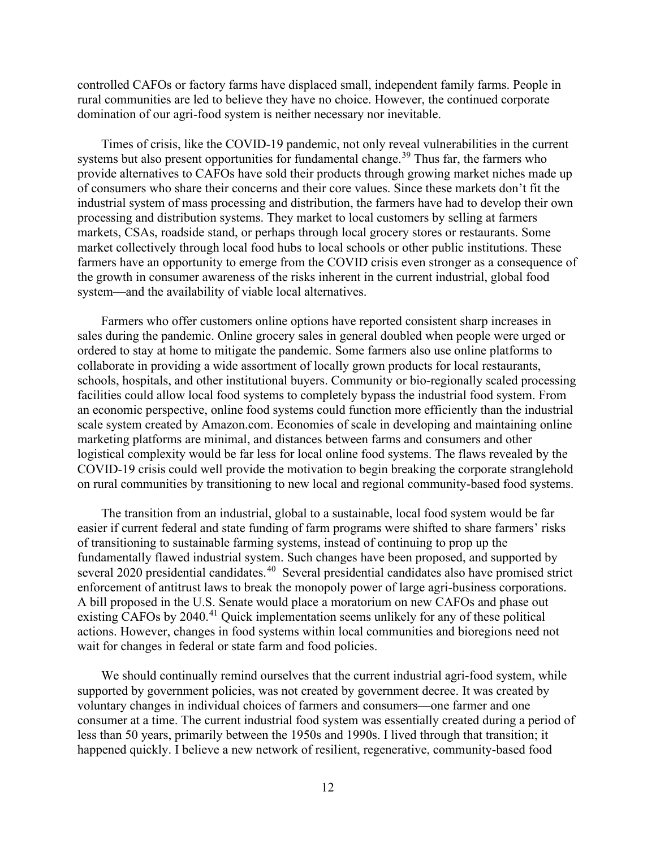controlled CAFOs or factory farms have displaced small, independent family farms. People in rural communities are led to believe they have no choice. However, the continued corporate domination of our agri-food system is neither necessary nor inevitable.

Times of crisis, like the COVID-19 pandemic, not only reveal vulnerabilities in the current systems but also present opportunities for fundamental change.<sup>[39](#page-13-19)</sup> Thus far, the farmers who provide alternatives to CAFOs have sold their products through growing market niches made up of consumers who share their concerns and their core values. Since these markets don't fit the industrial system of mass processing and distribution, the farmers have had to develop their own processing and distribution systems. They market to local customers by selling at farmers markets, CSAs, roadside stand, or perhaps through local grocery stores or restaurants. Some market collectively through local food hubs to local schools or other public institutions. These farmers have an opportunity to emerge from the COVID crisis even stronger as a consequence of the growth in consumer awareness of the risks inherent in the current industrial, global food system—and the availability of viable local alternatives.

Farmers who offer customers online options have reported consistent sharp increases in sales during the pandemic. Online grocery sales in general doubled when people were urged or ordered to stay at home to mitigate the pandemic. Some farmers also use online platforms to collaborate in providing a wide assortment of locally grown products for local restaurants, schools, hospitals, and other institutional buyers. Community or bio-regionally scaled processing facilities could allow local food systems to completely bypass the industrial food system. From an economic perspective, online food systems could function more efficiently than the industrial scale system created by Amazon.com. Economies of scale in developing and maintaining online marketing platforms are minimal, and distances between farms and consumers and other logistical complexity would be far less for local online food systems. The flaws revealed by the COVID-19 crisis could well provide the motivation to begin breaking the corporate stranglehold on rural communities by transitioning to new local and regional community-based food systems.

The transition from an industrial, global to a sustainable, local food system would be far easier if current federal and state funding of farm programs were shifted to share farmers' risks of transitioning to sustainable farming systems, instead of continuing to prop up the fundamentally flawed industrial system. Such changes have been proposed, and supported by several 2020 presidential candidates.<sup>40</sup> Several presidential candidates also have promised strict enforcement of antitrust laws to break the monopoly power of large agri-business corporations. A bill proposed in the U.S. Senate would place a moratorium on new CAFOs and phase out existing CAFOs by 2040.<sup>[41](#page-13-21)</sup> Quick implementation seems unlikely for any of these political actions. However, changes in food systems within local communities and bioregions need not wait for changes in federal or state farm and food policies.

We should continually remind ourselves that the current industrial agri-food system, while supported by government policies, was not created by government decree. It was created by voluntary changes in individual choices of farmers and consumers—one farmer and one consumer at a time. The current industrial food system was essentially created during a period of less than 50 years, primarily between the 1950s and 1990s. I lived through that transition; it happened quickly. I believe a new network of resilient, regenerative, community-based food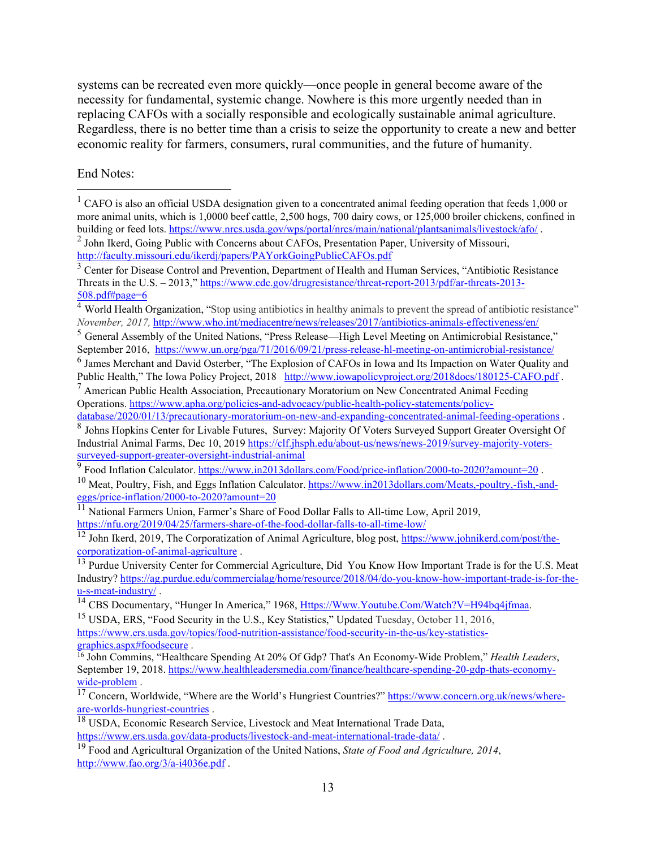systems can be recreated even more quickly—once people in general become aware of the necessity for fundamental, systemic change. Nowhere is this more urgently needed than in replacing CAFOs with a socially responsible and ecologically sustainable animal agriculture. Regardless, there is no better time than a crisis to seize the opportunity to create a new and better economic reality for farmers, consumers, rural communities, and the future of humanity.

End Notes:

<span id="page-12-4"></span><sup>5</sup> General Assembly of the United Nations, "Press Release—High Level Meeting on Antimicrobial Resistance," September 2016, <https://www.un.org/pga/71/2016/09/21/press-release-hl-meeting-on-antimicrobial-resistance/>

[graphics.aspx#foodsecure](https://www.ers.usda.gov/topics/food-nutrition-assistance/food-security-in-the-us/key-statistics-graphics.aspx#foodsecure) .

<span id="page-12-0"></span><sup>&</sup>lt;sup>1</sup> CAFO is also an official USDA designation given to a concentrated animal feeding operation that feeds 1,000 or more animal units, which is 1,0000 beef cattle, 2,500 hogs, 700 dairy cows, or 125,000 broiler chickens, confined in building or feed lots. https://www.nrcs.usda.gov/wps/portal/nrcs/main/national/plantsanimals/livestock/af

<span id="page-12-1"></span><sup>&</sup>lt;sup>2</sup> John Ikerd, Going Public with Concerns about CAFOs, Presentation Paper, University of Missouri, <http://faculty.missouri.edu/ikerdj/papers/PAYorkGoingPublicCAFOs.pdf>

<span id="page-12-2"></span><sup>&</sup>lt;sup>3</sup> Center for Disease Control and Prevention, Department of Health and Human Services, "Antibiotic Resistance" Threats in the U.S. – 2013,[" https://www.cdc.gov/drugresistance/threat-report-2013/pdf/ar-threats-2013-](https://www.cdc.gov/drugresistance/threat-report-2013/pdf/ar-threats-2013-508.pdf#page=6) [508.pdf#page=6](https://www.cdc.gov/drugresistance/threat-report-2013/pdf/ar-threats-2013-508.pdf#page=6)

<span id="page-12-3"></span><sup>&</sup>lt;sup>4</sup> World Health Organization, "Stop using antibiotics in healthy animals to prevent the spread of antibiotic resistance" *November, 2017,* <http://www.who.int/mediacentre/news/releases/2017/antibiotics-animals-effectiveness/en/>

<span id="page-12-5"></span><sup>6</sup> James Merchant and David Osterber, "The Explosion of CAFOs in Iowa and Its Impaction on Water Quality and Public Health," The Iowa Policy Project, 2018 <http://www.iowapolicyproject.org/2018docs/180125-CAFO.pdf>.

<span id="page-12-6"></span> $<sup>7</sup>$  American Public Health Association, Precautionary Moratorium on New Concentrated Animal Feeding</sup> Operations. [https://www.apha.org/policies-and-advocacy/public-health-policy-statements/policy-](https://www.apha.org/policies-and-advocacy/public-health-policy-statements/policy-database/2020/01/13/precautionary-moratorium-on-new-and-expanding-concentrated-animal-feeding-operations)

[database/2020/01/13/precautionary-moratorium-on-new-and-expanding-concentrated-animal-feeding-operations](https://www.apha.org/policies-and-advocacy/public-health-policy-statements/policy-database/2020/01/13/precautionary-moratorium-on-new-and-expanding-concentrated-animal-feeding-operations) .

<span id="page-12-7"></span><sup>8</sup> Johns Hopkins Center for Livable Futures, Survey: Majority Of Voters Surveyed Support Greater Oversight Of Industrial Animal Farms, Dec 10, 201[9 https://clf.jhsph.edu/about-us/news/news-2019/survey-majority-voters](https://clf.jhsph.edu/about-us/news/news-2019/survey-majority-voters-surveyed-support-greater-oversight-industrial-animal)[surveyed-support-greater-oversight-industrial-animal](https://clf.jhsph.edu/about-us/news/news-2019/survey-majority-voters-surveyed-support-greater-oversight-industrial-animal)

<span id="page-12-8"></span><sup>&</sup>lt;sup>9</sup> Food Inflation Calculator.<https://www.in2013dollars.com/Food/price-inflation/2000-to-2020?amount=20>.

<span id="page-12-9"></span><sup>&</sup>lt;sup>10</sup> Meat, Poultry, Fish, and Eggs Inflation Calculator[. https://www.in2013dollars.com/Meats,-poultry,-fish,-and](https://www.in2013dollars.com/Meats,-poultry,-fish,-and-eggs/price-inflation/2000-to-2020?amount=20)[eggs/price-inflation/2000-to-2020?amount=20](https://www.in2013dollars.com/Meats,-poultry,-fish,-and-eggs/price-inflation/2000-to-2020?amount=20)

<span id="page-12-10"></span><sup>&</sup>lt;sup>11</sup> National Farmers Union, Farmer's Share of Food Dollar Falls to All-time Low, April 2019, <https://nfu.org/2019/04/25/farmers-share-of-the-food-dollar-falls-to-all-time-low/>

<span id="page-12-11"></span><sup>&</sup>lt;sup>12</sup> John Ikerd, 2019, The Corporatization of Animal Agriculture, blog post, https://www.johnikerd.com/post/the-corporatization-of-animal-agriculture.

<span id="page-12-12"></span><sup>&</sup>lt;sup>13</sup> Purdue University Center for Commercial Agriculture, Did You Know How Important Trade is for the U[.](https://www.johnikerd.com/post/the-corporatization-of-animal-agriculture)S. Meat Industry? [https://ag.purdue.edu/commercialag/home/resource/2018/04/do-you-know-how-important-trade-is-for-the](https://ag.purdue.edu/commercialag/home/resource/2018/04/do-you-know-how-important-trade-is-for-the-u-s-meat-industry/)[u-s-meat-industry/](https://ag.purdue.edu/commercialag/home/resource/2018/04/do-you-know-how-important-trade-is-for-the-u-s-meat-industry/) .

<span id="page-12-13"></span><sup>&</sup>lt;sup>14</sup> CBS Documentary, "Hunger In America," 1968, *Https://Www.Youtube.Com/Watch?V=H94bq4jfmaa.* 

<span id="page-12-14"></span><sup>&</sup>lt;sup>15</sup> USDA, ERS, "Food Security in the U.S., Key Statistics," Updated Tuesday, October 11, 2016, [https://www.ers.usda.gov/topics/food-nutrition-assistance/food-security-in-the-us/key-statistics-](https://www.ers.usda.gov/topics/food-nutrition-assistance/food-security-in-the-us/key-statistics-graphics.aspx#foodsecure)

<span id="page-12-15"></span><sup>16</sup> John Commins, "Healthcare Spending At 20% Of Gdp? That's An Economy-Wide Problem," *Health Leaders*, September 19, 2018. [https://www.healthleadersmedia.com/finance/healthcare-spending-20-gdp-thats-economy](https://www.healthleadersmedia.com/finance/healthcare-spending-20-gdp-thats-economy-wide-problem)[wide-problem](https://www.healthleadersmedia.com/finance/healthcare-spending-20-gdp-thats-economy-wide-problem) .

<span id="page-12-16"></span><sup>&</sup>lt;sup>17</sup> Concern, Worldwide, "Where are the World's Hungriest Countries?" https://www.concern.org.uk/news/where-<br>are-worlds-hungriest-countries.

<span id="page-12-17"></span><sup>&</sup>lt;sup>18</sup> USDA, Economic Research Service, Livestock and Meat International Trade Data, <https://www.ers.usda.gov/data-products/livestock-and-meat-international-trade-data/> .

<span id="page-12-18"></span><sup>19</sup> Food and Agricultural Organization of the United Nations, *State of Food and Agriculture, 2014*, <http://www.fao.org/3/a-i4036e.pdf> .